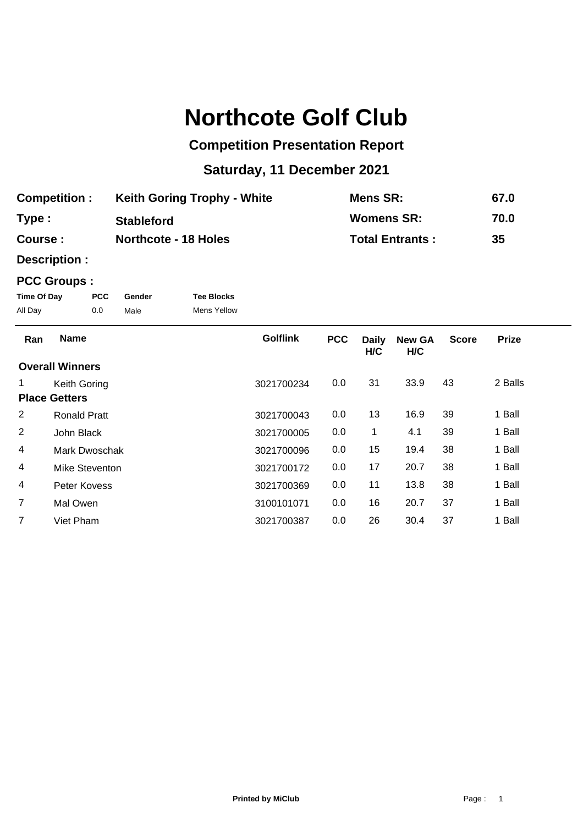# **Northcote Golf Club**

## **Competition Presentation Report**

## **Saturday, 11 December 2021**

| <b>Competition:</b> | <b>Keith Goring Trophy - White</b> | Mens SR:               | 67.0 |
|---------------------|------------------------------------|------------------------|------|
| Type:               | <b>Stableford</b>                  | <b>Womens SR:</b>      | 70.0 |
| Course :            | <b>Northcote - 18 Holes</b>        | <b>Total Entrants:</b> | 35   |

**Description :**

### **PCC Groups :**

| Time Of Day | PCC. | Gender | <b>Tee Blocks</b>  |
|-------------|------|--------|--------------------|
| All Day     | 0.0  | Male   | <b>Mens Yellow</b> |

| Ran            | <b>Name</b>            | <b>Golflink</b> | <b>PCC</b> | <b>Daily</b><br>H/C | <b>New GA</b><br>H/C | <b>Score</b> | <b>Prize</b> |  |
|----------------|------------------------|-----------------|------------|---------------------|----------------------|--------------|--------------|--|
|                | <b>Overall Winners</b> |                 |            |                     |                      |              |              |  |
| 1.             | Keith Goring           | 3021700234      | 0.0        | 31                  | 33.9                 | 43           | 2 Balls      |  |
|                | <b>Place Getters</b>   |                 |            |                     |                      |              |              |  |
| 2              | <b>Ronald Pratt</b>    | 3021700043      | 0.0        | 13                  | 16.9                 | 39           | 1 Ball       |  |
| 2              | John Black             | 3021700005      | 0.0        | 1                   | 4.1                  | 39           | 1 Ball       |  |
| 4              | Mark Dwoschak          | 3021700096      | 0.0        | 15                  | 19.4                 | 38           | 1 Ball       |  |
| 4              | Mike Steventon         | 3021700172      | 0.0        | 17                  | 20.7                 | 38           | 1 Ball       |  |
| 4              | Peter Kovess           | 3021700369      | 0.0        | 11                  | 13.8                 | 38           | 1 Ball       |  |
| $\overline{7}$ | Mal Owen               | 3100101071      | 0.0        | 16                  | 20.7                 | 37           | 1 Ball       |  |
| 7              | Viet Pham              | 3021700387      | 0.0        | 26                  | 30.4                 | 37           | 1 Ball       |  |